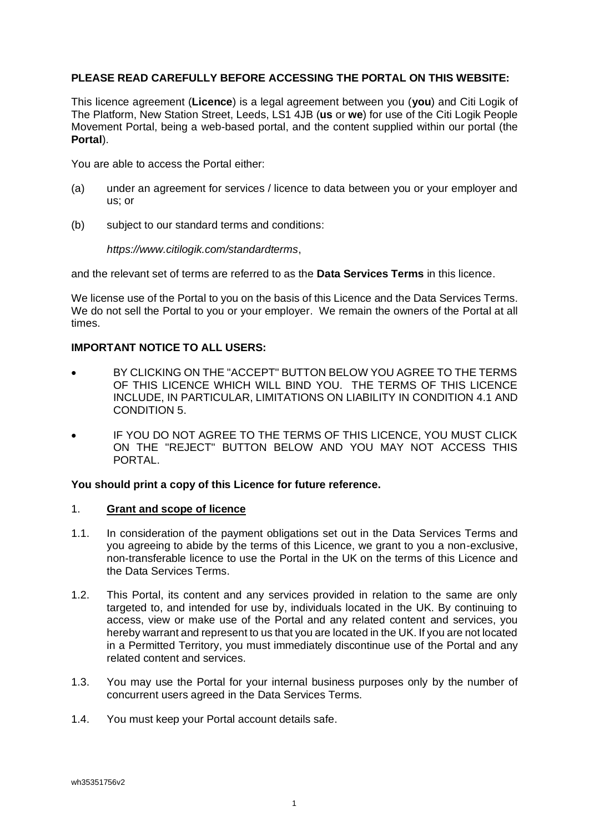### **PLEASE READ CAREFULLY BEFORE ACCESSING THE PORTAL ON THIS WEBSITE:**

This licence agreement (**Licence**) is a legal agreement between you (**you**) and Citi Logik of The Platform, New Station Street, Leeds, LS1 4JB (**us** or **we**) for use of the Citi Logik People Movement Portal, being a web-based portal, and the content supplied within our portal (the **Portal**).

You are able to access the Portal either:

- (a) under an agreement for services / licence to data between you or your employer and us; or
- (b) subject to our standard terms and conditions:

#### *https://www.citilogik.com/standardterms*,

and the relevant set of terms are referred to as the **Data Services Terms** in this licence.

We license use of the Portal to you on the basis of this Licence and the Data Services Terms. We do not sell the Portal to you or your employer. We remain the owners of the Portal at all times.

### **IMPORTANT NOTICE TO ALL USERS:**

- BY CLICKING ON THE "ACCEPT" BUTTON BELOW YOU AGREE TO THE TERMS OF THIS LICENCE WHICH WILL BIND YOU. THE TERMS OF THIS LICENCE INCLUDE, IN PARTICULAR, LIMITATIONS ON LIABILITY IN CONDITION [4.1](#page-1-0) AND CONDITION [5.](#page-2-0)
- IF YOU DO NOT AGREE TO THE TERMS OF THIS LICENCE, YOU MUST CLICK ON THE "REJECT" BUTTON BELOW AND YOU MAY NOT ACCESS THIS PORTAL.

## **You should print a copy of this Licence for future reference.**

### 1. **Grant and scope of licence**

- 1.1. In consideration of the payment obligations set out in the Data Services Terms and you agreeing to abide by the terms of this Licence, we grant to you a non-exclusive, non-transferable licence to use the Portal in the UK on the terms of this Licence and the Data Services Terms.
- 1.2. This Portal, its content and any services provided in relation to the same are only targeted to, and intended for use by, individuals located in the UK. By continuing to access, view or make use of the Portal and any related content and services, you hereby warrant and represent to us that you are located in the UK. If you are not located in a Permitted Territory, you must immediately discontinue use of the Portal and any related content and services.
- 1.3. You may use the Portal for your internal business purposes only by the number of concurrent users agreed in the Data Services Terms.
- 1.4. You must keep your Portal account details safe.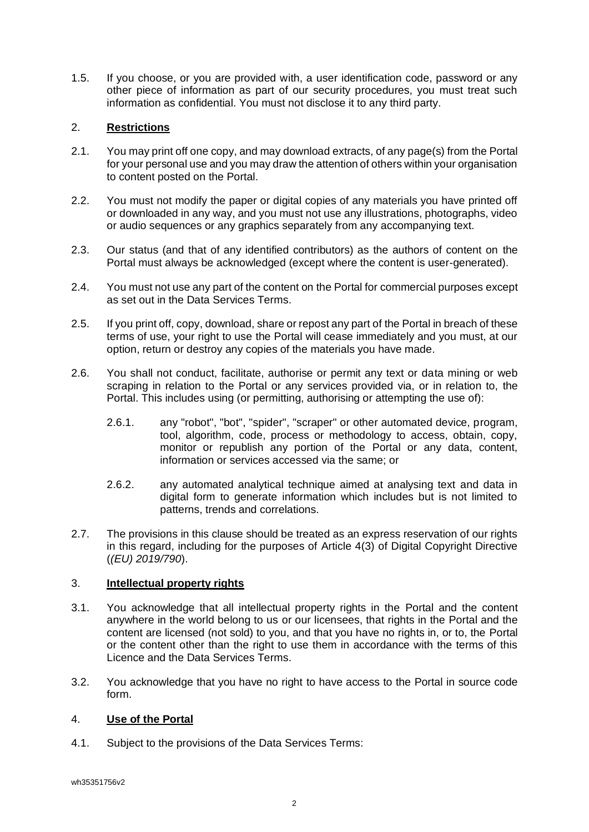1.5. If you choose, or you are provided with, a user identification code, password or any other piece of information as part of our security procedures, you must treat such information as confidential. You must not disclose it to any third party.

# 2. **Restrictions**

- 2.1. You may print off one copy, and may download extracts, of any page(s) from the Portal for your personal use and you may draw the attention of others within your organisation to content posted on the Portal.
- 2.2. You must not modify the paper or digital copies of any materials you have printed off or downloaded in any way, and you must not use any illustrations, photographs, video or audio sequences or any graphics separately from any accompanying text.
- 2.3. Our status (and that of any identified contributors) as the authors of content on the Portal must always be acknowledged (except where the content is user-generated).
- 2.4. You must not use any part of the content on the Portal for commercial purposes except as set out in the Data Services Terms.
- 2.5. If you print off, copy, download, share or repost any part of the Portal in breach of these terms of use, your right to use the Portal will cease immediately and you must, at our option, return or destroy any copies of the materials you have made.
- 2.6. You shall not conduct, facilitate, authorise or permit any text or data mining or web scraping in relation to the Portal or any services provided via, or in relation to, the Portal. This includes using (or permitting, authorising or attempting the use of):
	- 2.6.1. any "robot", "bot", "spider", "scraper" or other automated device, program, tool, algorithm, code, process or methodology to access, obtain, copy, monitor or republish any portion of the Portal or any data, content, information or services accessed via the same; or
	- 2.6.2. any automated analytical technique aimed at analysing text and data in digital form to generate information which includes but is not limited to patterns, trends and correlations.
- 2.7. The provisions in this clause should be treated as an express reservation of our rights in this regard, including for the purposes of Article 4(3) of Digital Copyright Directive (*(EU) 2019/790*).

## 3. **Intellectual property rights**

- 3.1. You acknowledge that all intellectual property rights in the Portal and the content anywhere in the world belong to us or our licensees, that rights in the Portal and the content are licensed (not sold) to you, and that you have no rights in, or to, the Portal or the content other than the right to use them in accordance with the terms of this Licence and the Data Services Terms.
- 3.2. You acknowledge that you have no right to have access to the Portal in source code form.

## 4. **Use of the Portal**

<span id="page-1-0"></span>4.1. Subject to the provisions of the Data Services Terms: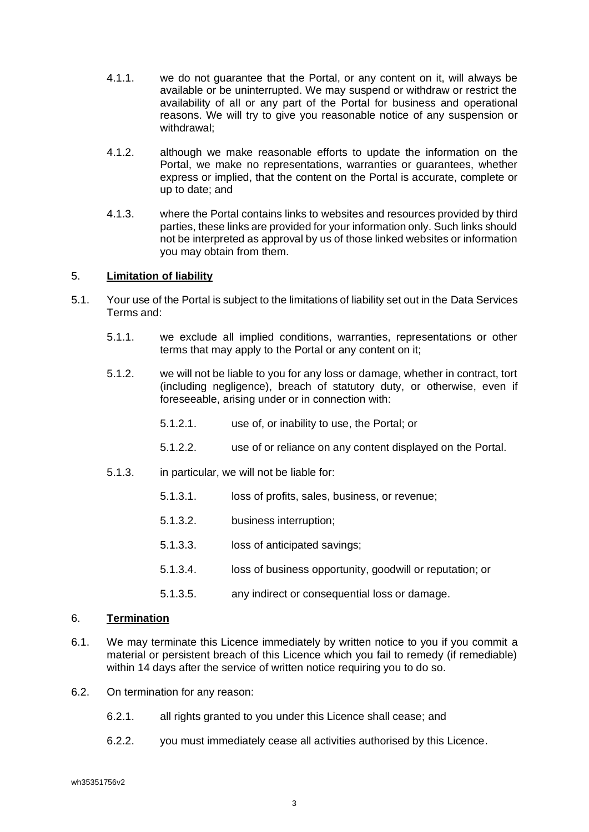- 4.1.1. we do not guarantee that the Portal, or any content on it, will always be available or be uninterrupted. We may suspend or withdraw or restrict the availability of all or any part of the Portal for business and operational reasons. We will try to give you reasonable notice of any suspension or withdrawal;
- 4.1.2. although we make reasonable efforts to update the information on the Portal, we make no representations, warranties or guarantees, whether express or implied, that the content on the Portal is accurate, complete or up to date; and
- 4.1.3. where the Portal contains links to websites and resources provided by third parties, these links are provided for your information only. Such links should not be interpreted as approval by us of those linked websites or information you may obtain from them.

### <span id="page-2-0"></span>5. **Limitation of liability**

- 5.1. Your use of the Portal is subject to the limitations of liability set out in the Data Services Terms and:
	- 5.1.1. we exclude all implied conditions, warranties, representations or other terms that may apply to the Portal or any content on it;
	- 5.1.2. we will not be liable to you for any loss or damage, whether in contract, tort (including negligence), breach of statutory duty, or otherwise, even if foreseeable, arising under or in connection with:
		- 5.1.2.1. use of, or inability to use, the Portal; or
		- 5.1.2.2. use of or reliance on any content displayed on the Portal.
	- 5.1.3. in particular, we will not be liable for:
		- 5.1.3.1. loss of profits, sales, business, or revenue;
		- 5.1.3.2. business interruption;
		- 5.1.3.3. loss of anticipated savings;
		- 5.1.3.4. loss of business opportunity, goodwill or reputation; or
		- 5.1.3.5. any indirect or consequential loss or damage.

### 6. **Termination**

- 6.1. We may terminate this Licence immediately by written notice to you if you commit a material or persistent breach of this Licence which you fail to remedy (if remediable) within 14 days after the service of written notice requiring you to do so.
- 6.2. On termination for any reason:
	- 6.2.1. all rights granted to you under this Licence shall cease; and
	- 6.2.2. you must immediately cease all activities authorised by this Licence.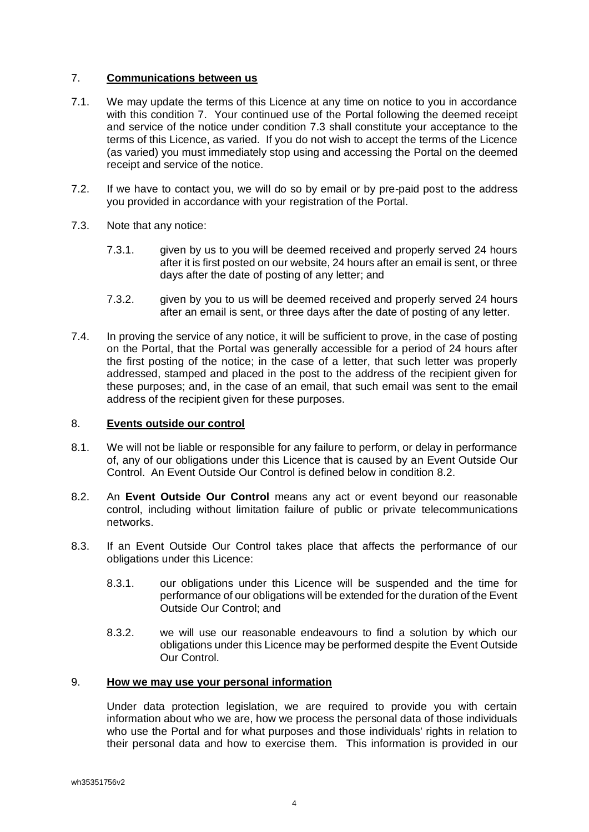### <span id="page-3-0"></span>7. **Communications between us**

- 7.1. We may update the terms of this Licence at any time on notice to you in accordance with this condition [7.](#page-3-0) Your continued use of the Portal following the deemed receipt and service of the notice under condition [7.3](#page-3-1) shall constitute your acceptance to the terms of this Licence, as varied. If you do not wish to accept the terms of the Licence (as varied) you must immediately stop using and accessing the Portal on the deemed receipt and service of the notice.
- 7.2. If we have to contact you, we will do so by email or by pre-paid post to the address you provided in accordance with your registration of the Portal.
- <span id="page-3-1"></span>7.3. Note that any notice:
	- 7.3.1. given by us to you will be deemed received and properly served 24 hours after it is first posted on our website, 24 hours after an email is sent, or three days after the date of posting of any letter; and
	- 7.3.2. given by you to us will be deemed received and properly served 24 hours after an email is sent, or three days after the date of posting of any letter.
- 7.4. In proving the service of any notice, it will be sufficient to prove, in the case of posting on the Portal, that the Portal was generally accessible for a period of 24 hours after the first posting of the notice; in the case of a letter, that such letter was properly addressed, stamped and placed in the post to the address of the recipient given for these purposes; and, in the case of an email, that such email was sent to the email address of the recipient given for these purposes.

### 8. **Events outside our control**

- 8.1. We will not be liable or responsible for any failure to perform, or delay in performance of, any of our obligations under this Licence that is caused by an Event Outside Our Control. An Event Outside Our Control is defined below in condition [8.2.](#page-3-2)
- <span id="page-3-2"></span>8.2. An **Event Outside Our Control** means any act or event beyond our reasonable control, including without limitation failure of public or private telecommunications networks.
- 8.3. If an Event Outside Our Control takes place that affects the performance of our obligations under this Licence:
	- 8.3.1. our obligations under this Licence will be suspended and the time for performance of our obligations will be extended for the duration of the Event Outside Our Control; and
	- 8.3.2. we will use our reasonable endeavours to find a solution by which our obligations under this Licence may be performed despite the Event Outside Our Control.

### 9. **How we may use your personal information**

Under data protection legislation, we are required to provide you with certain information about who we are, how we process the personal data of those individuals who use the Portal and for what purposes and those individuals' rights in relation to their personal data and how to exercise them. This information is provided in our